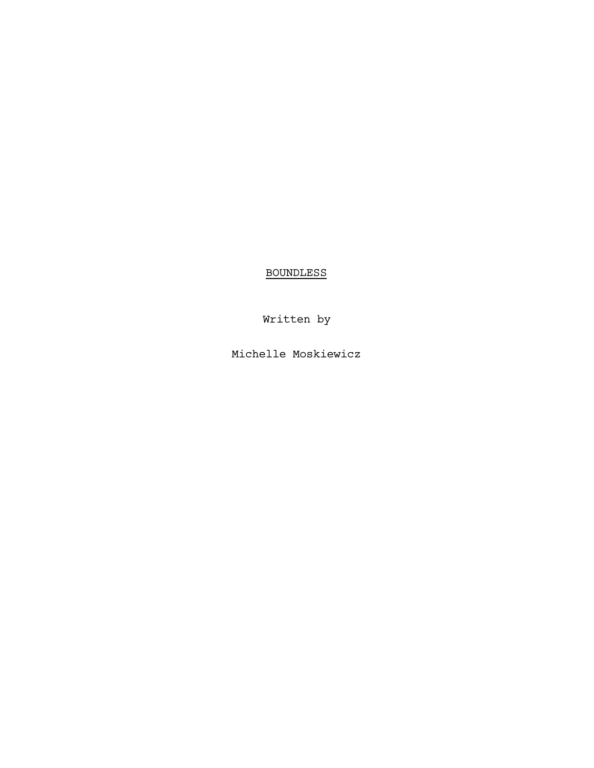BOUNDLESS

Written by

Michelle Moskiewicz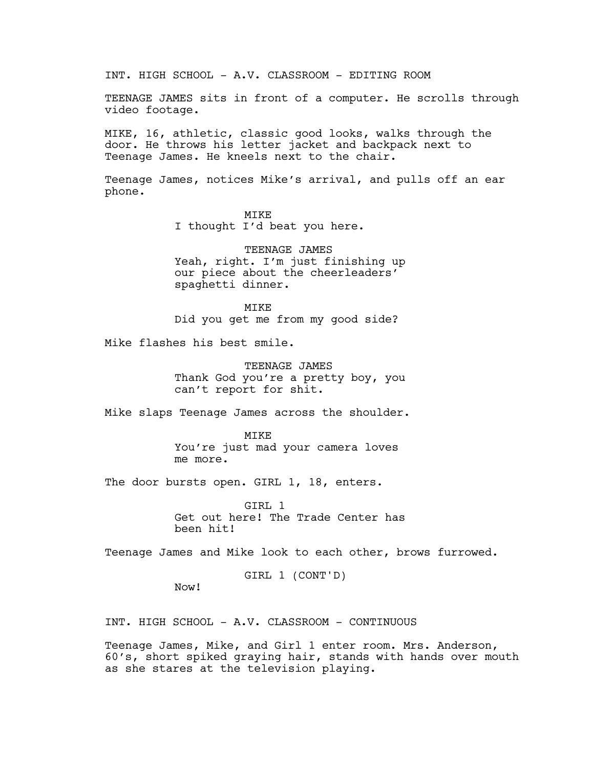INT. HIGH SCHOOL - A.V. CLASSROOM - EDITING ROOM

TEENAGE JAMES sits in front of a computer. He scrolls through video footage.

MIKE, 16, athletic, classic good looks, walks through the door. He throws his letter jacket and backpack next to Teenage James. He kneels next to the chair.

Teenage James, notices Mike's arrival, and pulls off an ear phone.

> MIKE I thought I'd beat you here.

TEENAGE JAMES Yeah, right. I'm just finishing up our piece about the cheerleaders' spaghetti dinner.

MTK<sub>E</sub> Did you get me from my good side?

Mike flashes his best smile.

TEENAGE JAMES Thank God you're a pretty boy, you can't report for shit.

Mike slaps Teenage James across the shoulder.

**MTKE** You're just mad your camera loves me more.

The door bursts open. GIRL 1, 18, enters.

GIRL 1 Get out here! The Trade Center has been hit!

Teenage James and Mike look to each other, brows furrowed.

GIRL 1 (CONT'D)

Now!

INT. HIGH SCHOOL - A.V. CLASSROOM - CONTINUOUS

Teenage James, Mike, and Girl 1 enter room. Mrs. Anderson, 60's, short spiked graying hair, stands with hands over mouth as she stares at the television playing.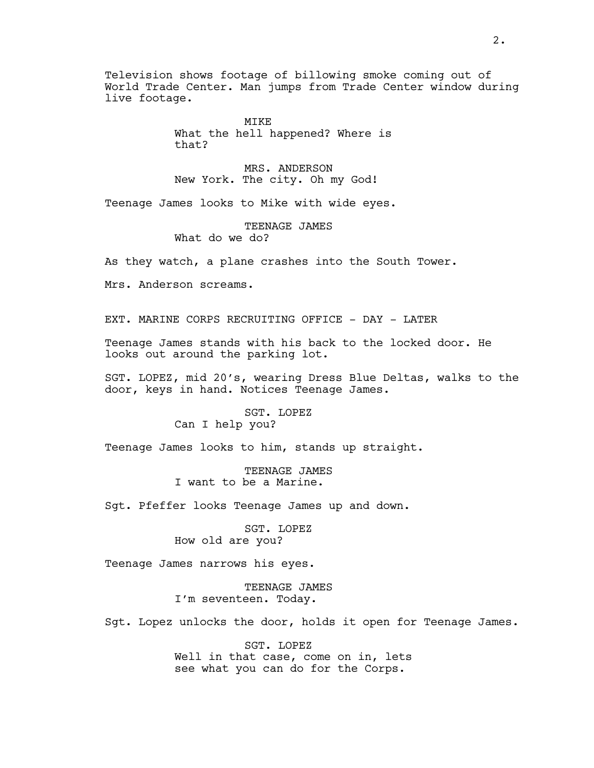Television shows footage of billowing smoke coming out of World Trade Center. Man jumps from Trade Center window during live footage.

> MIKE What the hell happened? Where is that?

MRS. ANDERSON New York. The city. Oh my God!

Teenage James looks to Mike with wide eyes.

TEENAGE JAMES What do we do?

As they watch, a plane crashes into the South Tower.

Mrs. Anderson screams.

EXT. MARINE CORPS RECRUITING OFFICE - DAY - LATER

Teenage James stands with his back to the locked door. He looks out around the parking lot.

SGT. LOPEZ, mid 20's, wearing Dress Blue Deltas, walks to the door, keys in hand. Notices Teenage James.

> SGT. LOPEZ Can I help you?

Teenage James looks to him, stands up straight.

TEENAGE JAMES I want to be a Marine.

Sgt. Pfeffer looks Teenage James up and down.

SGT. LOPEZ How old are you?

Teenage James narrows his eyes.

TEENAGE JAMES I'm seventeen. Today.

Sgt. Lopez unlocks the door, holds it open for Teenage James.

SGT. LOPEZ Well in that case, come on in, lets see what you can do for the Corps.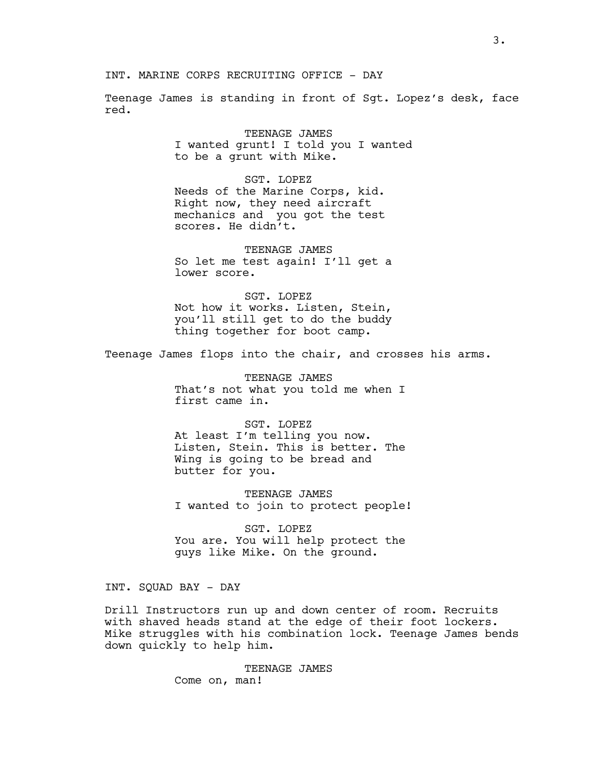Teenage James is standing in front of Sgt. Lopez's desk, face red.

> TEENAGE JAMES I wanted grunt! I told you I wanted to be a grunt with Mike.

SGT. LOPEZ Needs of the Marine Corps, kid. Right now, they need aircraft mechanics and you got the test scores. He didn't.

TEENAGE JAMES So let me test again! I'll get a lower score.

SGT. LOPEZ Not how it works. Listen, Stein, you'll still get to do the buddy thing together for boot camp.

Teenage James flops into the chair, and crosses his arms.

TEENAGE JAMES That's not what you told me when I first came in.

SGT. LOPEZ At least I'm telling you now. Listen, Stein. This is better. The Wing is going to be bread and butter for you.

TEENAGE JAMES I wanted to join to protect people!

SGT. LOPEZ You are. You will help protect the guys like Mike. On the ground.

INT. SQUAD BAY - DAY

Drill Instructors run up and down center of room. Recruits with shaved heads stand at the edge of their foot lockers. Mike struggles with his combination lock. Teenage James bends down quickly to help him.

> TEENAGE JAMES Come on, man!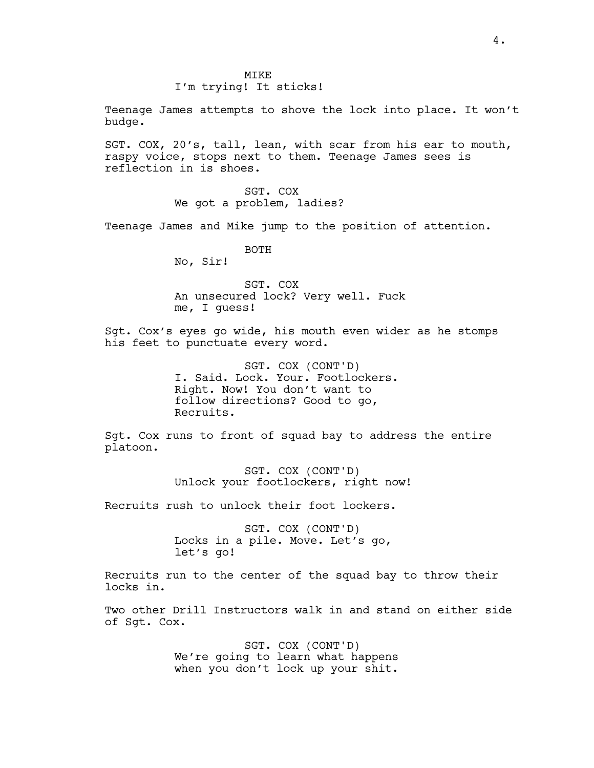## I'm trying! It sticks!

Teenage James attempts to shove the lock into place. It won't budge.

SGT. COX, 20's, tall, lean, with scar from his ear to mouth, raspy voice, stops next to them. Teenage James sees is reflection in is shoes.

> SGT. COX We got a problem, ladies?

Teenage James and Mike jump to the position of attention.

BOTH

No, Sir!

SGT. COX An unsecured lock? Very well. Fuck me, I guess!

Sgt. Cox's eyes go wide, his mouth even wider as he stomps his feet to punctuate every word.

> SGT. COX (CONT'D) I. Said. Lock. Your. Footlockers. Right. Now! You don't want to follow directions? Good to go, Recruits.

Sgt. Cox runs to front of squad bay to address the entire platoon.

> SGT. COX (CONT'D) Unlock your footlockers, right now!

Recruits rush to unlock their foot lockers.

SGT. COX (CONT'D) Locks in a pile. Move. Let's go, let's go!

Recruits run to the center of the squad bay to throw their locks in.

Two other Drill Instructors walk in and stand on either side of Sgt. Cox.

> SGT. COX (CONT'D) We're going to learn what happens when you don't lock up your shit.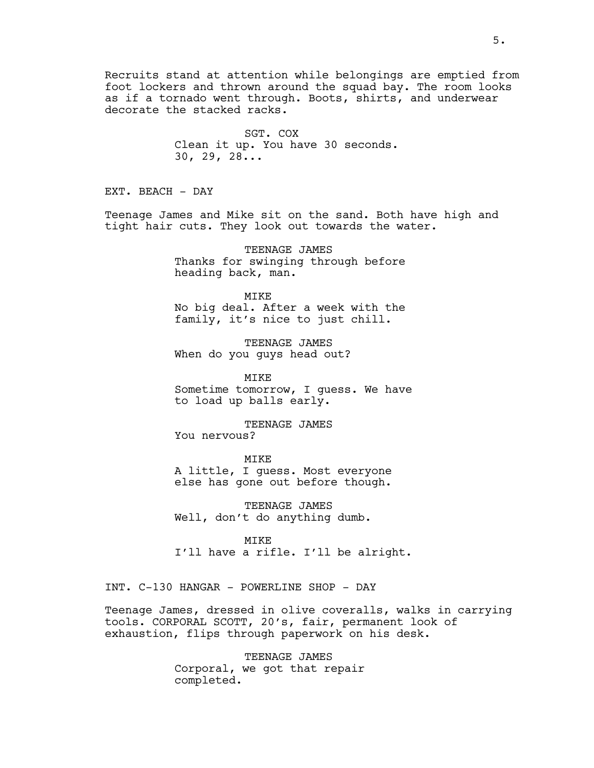Recruits stand at attention while belongings are emptied from foot lockers and thrown around the squad bay. The room looks as if a tornado went through. Boots, shirts, and underwear decorate the stacked racks.

> SGT. COX Clean it up. You have 30 seconds. 30, 29, 28...

EXT. BEACH - DAY

Teenage James and Mike sit on the sand. Both have high and tight hair cuts. They look out towards the water.

> TEENAGE JAMES Thanks for swinging through before heading back, man.

> MIKE No big deal. After a week with the family, it's nice to just chill.

TEENAGE JAMES When do you guys head out?

MIKE Sometime tomorrow, I guess. We have to load up balls early.

TEENAGE JAMES You nervous?

MIKE A little, I guess. Most everyone else has gone out before though.

TEENAGE JAMES Well, don't do anything dumb.

MIKE I'll have a rifle. I'll be alright.

INT. C-130 HANGAR - POWERLINE SHOP - DAY

Teenage James, dressed in olive coveralls, walks in carrying tools. CORPORAL SCOTT, 20's, fair, permanent look of exhaustion, flips through paperwork on his desk.

> TEENAGE JAMES Corporal, we got that repair completed.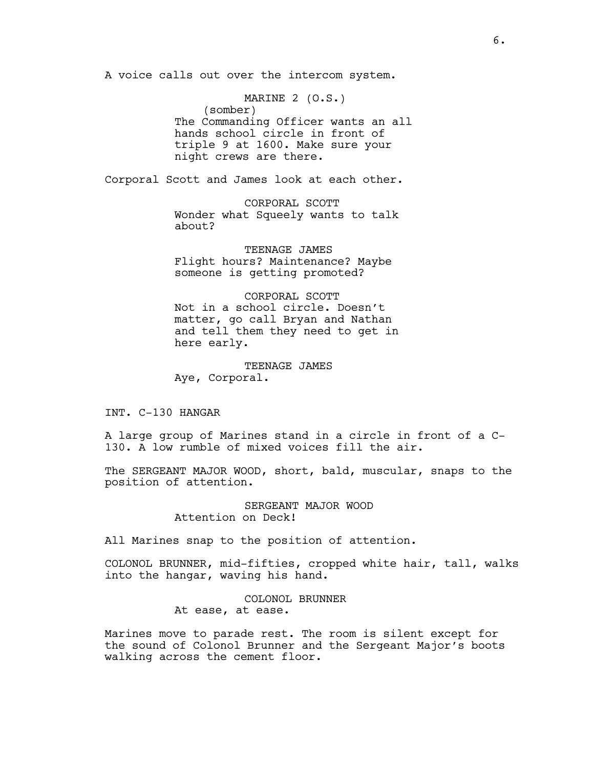A voice calls out over the intercom system.

MARINE 2 (O.S.) (somber) The Commanding Officer wants an all hands school circle in front of triple 9 at 1600. Make sure your night crews are there.

Corporal Scott and James look at each other.

CORPORAL SCOTT Wonder what Squeely wants to talk about?

TEENAGE JAMES Flight hours? Maintenance? Maybe someone is getting promoted?

CORPORAL SCOTT Not in a school circle. Doesn't matter, go call Bryan and Nathan and tell them they need to get in here early.

TEENAGE JAMES Aye, Corporal.

INT. C-130 HANGAR

A large group of Marines stand in a circle in front of a C-130. A low rumble of mixed voices fill the air.

The SERGEANT MAJOR WOOD, short, bald, muscular, snaps to the position of attention.

> SERGEANT MAJOR WOOD Attention on Deck!

All Marines snap to the position of attention.

COLONOL BRUNNER, mid-fifties, cropped white hair, tall, walks into the hangar, waving his hand.

> COLONOL BRUNNER At ease, at ease.

Marines move to parade rest. The room is silent except for the sound of Colonol Brunner and the Sergeant Major's boots walking across the cement floor.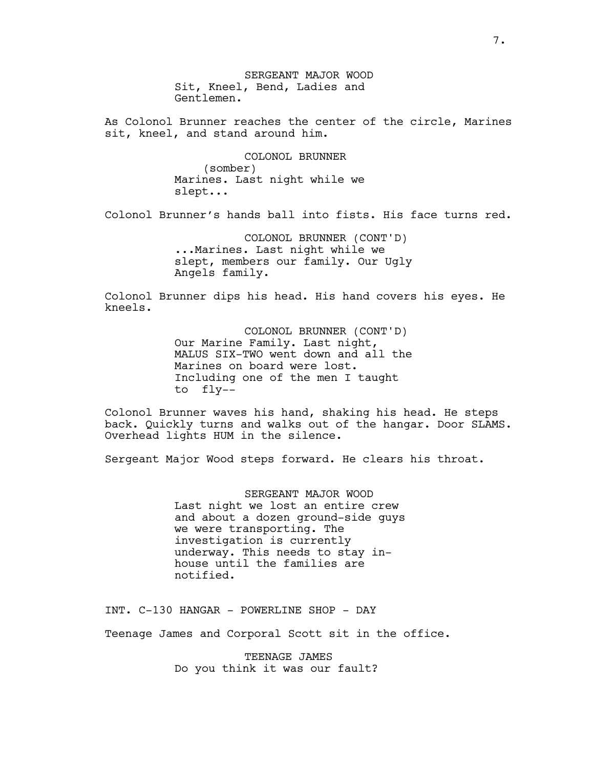SERGEANT MAJOR WOOD Sit, Kneel, Bend, Ladies and Gentlemen.

As Colonol Brunner reaches the center of the circle, Marines sit, kneel, and stand around him.

> COLONOL BRUNNER (somber) Marines. Last night while we slept...

Colonol Brunner's hands ball into fists. His face turns red.

COLONOL BRUNNER (CONT'D) ...Marines. Last night while we slept, members our family. Our Ugly Angels family.

Colonol Brunner dips his head. His hand covers his eyes. He kneels.

> COLONOL BRUNNER (CONT'D) Our Marine Family. Last night, MALUS SIX-TWO went down and all the Marines on board were lost. Including one of the men I taught to fly--

Colonol Brunner waves his hand, shaking his head. He steps back. Quickly turns and walks out of the hangar. Door SLAMS. Overhead lights HUM in the silence.

Sergeant Major Wood steps forward. He clears his throat.

SERGEANT MAJOR WOOD Last night we lost an entire crew and about a dozen ground-side guys we were transporting. The investigation is currently underway. This needs to stay inhouse until the families are notified.

INT. C-130 HANGAR - POWERLINE SHOP - DAY

Teenage James and Corporal Scott sit in the office.

TEENAGE JAMES Do you think it was our fault?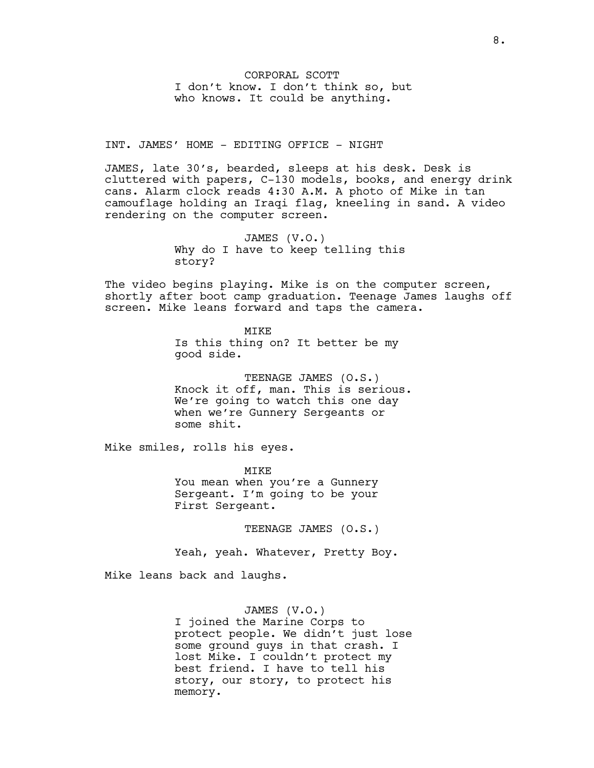CORPORAL SCOTT I don't know. I don't think so, but who knows. It could be anything.

INT. JAMES' HOME - EDITING OFFICE - NIGHT

JAMES, late 30's, bearded, sleeps at his desk. Desk is cluttered with papers, C-130 models, books, and energy drink cans. Alarm clock reads 4:30 A.M. A photo of Mike in tan camouflage holding an Iraqi flag, kneeling in sand. A video rendering on the computer screen.

> JAMES (V.O.) Why do I have to keep telling this story?

The video begins playing. Mike is on the computer screen, shortly after boot camp graduation. Teenage James laughs off screen. Mike leans forward and taps the camera.

> **MTKE** Is this thing on? It better be my good side.

TEENAGE JAMES (O.S.) Knock it off, man. This is serious. We're going to watch this one day when we're Gunnery Sergeants or some shit.

Mike smiles, rolls his eyes.

MIKE You mean when you're a Gunnery Sergeant. I'm going to be your First Sergeant.

TEENAGE JAMES (O.S.)

Yeah, yeah. Whatever, Pretty Boy.

Mike leans back and laughs.

## JAMES (V.O.)

I joined the Marine Corps to protect people. We didn't just lose some ground guys in that crash. I lost Mike. I couldn't protect my best friend. I have to tell his story, our story, to protect his memory.